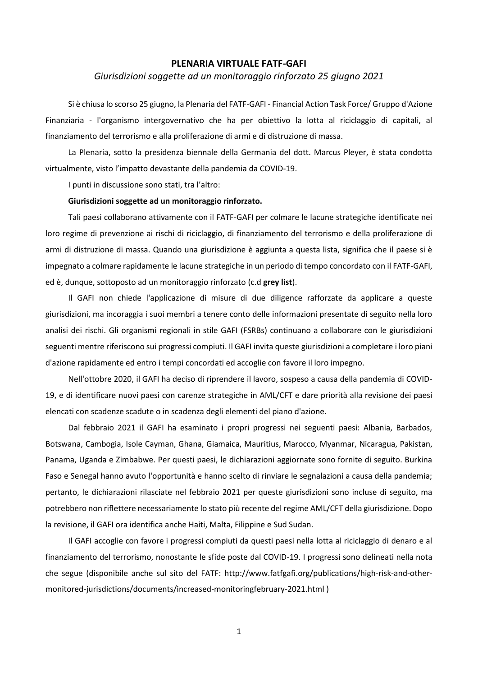## **PLENARIA VIRTUALE FATF-GAFI**

## *Giurisdizioni soggette ad un monitoraggio rinforzato 25 giugno 2021*

Si è chiusa lo scorso 25 giugno, la Plenaria del FATF-GAFI - Financial Action Task Force/ Gruppo d'Azione Finanziaria - l'organismo intergovernativo che ha per obiettivo la lotta al riciclaggio di capitali, al finanziamento del terrorismo e alla proliferazione di armi e di distruzione di massa.

La Plenaria, sotto la presidenza biennale della Germania del dott. Marcus Pleyer, è stata condotta virtualmente, visto l'impatto devastante della pandemia da COVID-19.

I punti in discussione sono stati, tra l'altro:

## **Giurisdizioni soggette ad un monitoraggio rinforzato.**

Tali paesi collaborano attivamente con il FATF-GAFI per colmare le lacune strategiche identificate nei loro regime di prevenzione ai rischi di riciclaggio, di finanziamento del terrorismo e della proliferazione di armi di distruzione di massa. Quando una giurisdizione è aggiunta a questa lista, significa che il paese si è impegnato a colmare rapidamente le lacune strategiche in un periodo di tempo concordato con il FATF-GAFI, ed è, dunque, sottoposto ad un monitoraggio rinforzato (c.d **grey list**).

Il GAFI non chiede l'applicazione di misure di due diligence rafforzate da applicare a queste giurisdizioni, ma incoraggia i suoi membri a tenere conto delle informazioni presentate di seguito nella loro analisi dei rischi. Gli organismi regionali in stile GAFI (FSRBs) continuano a collaborare con le giurisdizioni seguenti mentre riferiscono sui progressi compiuti. Il GAFI invita queste giurisdizioni a completare i loro piani d'azione rapidamente ed entro i tempi concordati ed accoglie con favore il loro impegno.

Nell'ottobre 2020, il GAFI ha deciso di riprendere il lavoro, sospeso a causa della pandemia di COVID-19, e di identificare nuovi paesi con carenze strategiche in AML/CFT e dare priorità alla revisione dei paesi elencati con scadenze scadute o in scadenza degli elementi del piano d'azione.

Dal febbraio 2021 il GAFI ha esaminato i propri progressi nei seguenti paesi: Albania, Barbados, Botswana, Cambogia, Isole Cayman, Ghana, Giamaica, Mauritius, Marocco, Myanmar, Nicaragua, Pakistan, Panama, Uganda e Zimbabwe. Per questi paesi, le dichiarazioni aggiornate sono fornite di seguito. Burkina Faso e Senegal hanno avuto l'opportunità e hanno scelto di rinviare le segnalazioni a causa della pandemia; pertanto, le dichiarazioni rilasciate nel febbraio 2021 per queste giurisdizioni sono incluse di seguito, ma potrebbero non riflettere necessariamente lo stato più recente del regime AML/CFT della giurisdizione. Dopo la revisione, il GAFI ora identifica anche Haiti, Malta, Filippine e Sud Sudan.

Il GAFI accoglie con favore i progressi compiuti da questi paesi nella lotta al riciclaggio di denaro e al finanziamento del terrorismo, nonostante le sfide poste dal COVID-19. I progressi sono delineati nella nota che segue (disponibile anche sul sito del FATF: http://www.fatfgafi.org/publications/high-risk-and-othermonitored-jurisdictions/documents/increased-monitoringfebruary-2021.html )

1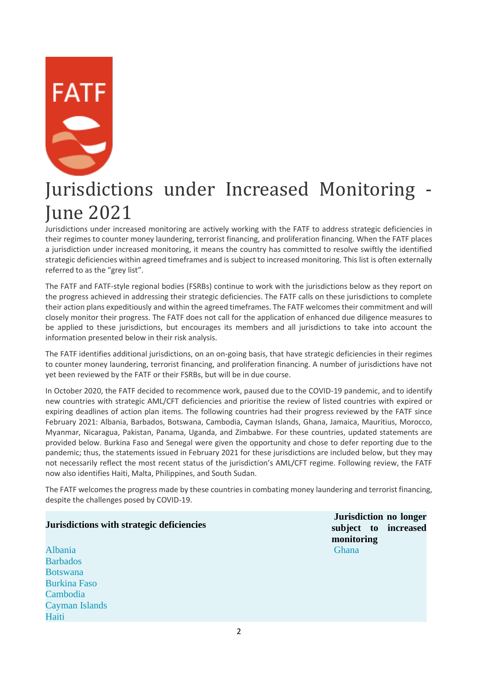

# Jurisdictions under Increased Monitoring - June 2021

Jurisdictions under increased monitoring are actively working with the FATF to address strategic deficiencies in their regimes to counter money laundering, terrorist financing, and proliferation financing. When the FATF places a jurisdiction under increased monitoring, it means the country has committed to resolve swiftly the identified strategic deficiencies within agreed timeframes and is subject to increased monitoring. This list is often externally referred to as the "grey list".

The FATF and FATF-style regional bodies (FSRBs) continue to work with the jurisdictions below as they report on the progress achieved in addressing their strategic deficiencies. The FATF calls on these jurisdictions to complete their action plans expeditiously and within the agreed timeframes. The FATF welcomes their commitment and will closely monitor their progress. The FATF does not call for the application of enhanced due diligence measures to be applied to these jurisdictions, but encourages its members and all jurisdictions to take into account the information presented below in their risk analysis.

The FATF identifies additional jurisdictions, on an on-going basis, that have strategic deficiencies in their regimes to counter money laundering, terrorist financing, and proliferation financing. A number of jurisdictions have not yet been reviewed by the FATF or their FSRBs, but will be in due course.

In October 2020, the FATF decided to recommence work, paused due to the COVID-19 pandemic, and to identify new countries with strategic AML/CFT deficiencies and prioritise the review of listed countries with expired or expiring deadlines of action plan items. The following countries had their progress reviewed by the FATF since February 2021: Albania, Barbados, Botswana, Cambodia, Cayman Islands, Ghana, Jamaica, Mauritius, Morocco, Myanmar, Nicaragua, Pakistan, Panama, Uganda, and Zimbabwe. For these countries, updated statements are provided below. Burkina Faso and Senegal were given the opportunity and chose to defer reporting due to the pandemic; thus, the statements issued in February 2021 for these jurisdictions are included below, but they may not necessarily reflect the most recent status of the jurisdiction's AML/CFT regime. Following review, the FATF now also identifies Haiti, Malta, Philippines, and South Sudan.

The FATF welcomes the progress made by these countries in combating money laundering and terrorist financing, despite the challenges posed by COVID-19.

## **Jurisdictions with strategic deficiencies**

[Albania](https://www.fatf-gafi.org/publications/high-risk-and-other-monitored-jurisdictions/documents/increased-monitoring-june-2021.html#albania) **[Barbados](https://www.fatf-gafi.org/publications/high-risk-and-other-monitored-jurisdictions/documents/increased-monitoring-june-2021.html#barbados)** [Botswana](https://www.fatf-gafi.org/publications/high-risk-and-other-monitored-jurisdictions/documents/increased-monitoring-june-2021.html#botswana) [Burkina Faso](https://www.fatf-gafi.org/publications/high-risk-and-other-monitored-jurisdictions/documents/increased-monitoring-june-2021.html#burkinafaso) [Cambodia](https://www.fatf-gafi.org/publications/high-risk-and-other-monitored-jurisdictions/documents/increased-monitoring-june-2021.html#cambodia) [Cayman Islands](https://www.fatf-gafi.org/publications/high-risk-and-other-monitored-jurisdictions/documents/increased-monitoring-june-2021.html#caymanislands) [Haiti](https://www.fatf-gafi.org/publications/high-risk-and-other-monitored-jurisdictions/documents/increased-monitoring-june-2021.html#Haiti)

**Jurisdiction no longer subject to increased monitoring** [Ghana](https://www.fatf-gafi.org/publications/high-risk-and-other-monitored-jurisdictions/documents/increased-monitoring-june-2021.html#ghana)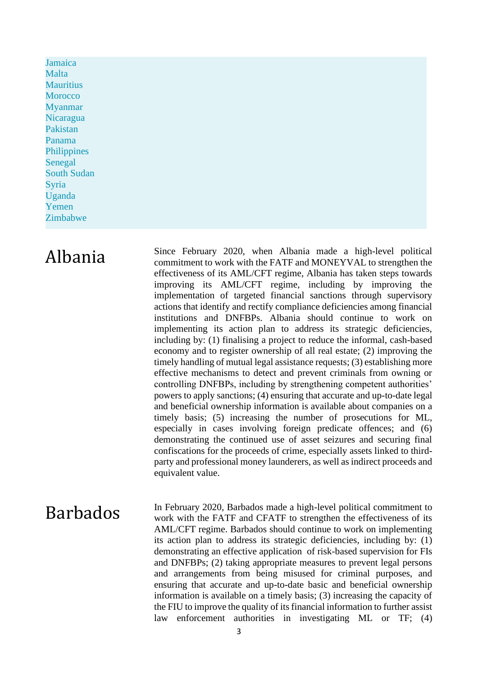[Jamaica](https://www.fatf-gafi.org/publications/high-risk-and-other-monitored-jurisdictions/documents/increased-monitoring-june-2021.html#jamaica) [Malta](https://www.fatf-gafi.org/publications/high-risk-and-other-monitored-jurisdictions/documents/increased-monitoring-june-2021.html#malta) **[Mauritius](https://www.fatf-gafi.org/publications/high-risk-and-other-monitored-jurisdictions/documents/increased-monitoring-june-2021.html#mauritius) [Morocco](https://www.fatf-gafi.org/publications/high-risk-and-other-monitored-jurisdictions/documents/increased-monitoring-june-2021.html#morocco)** [Myanmar](https://www.fatf-gafi.org/publications/high-risk-and-other-monitored-jurisdictions/documents/increased-monitoring-june-2021.html#myanmar) [Nicaragua](https://www.fatf-gafi.org/publications/high-risk-and-other-monitored-jurisdictions/documents/increased-monitoring-june-2021.html#nicaragua) [Pakistan](https://www.fatf-gafi.org/publications/high-risk-and-other-monitored-jurisdictions/documents/increased-monitoring-june-2021.html#pakistan) [Panama](https://www.fatf-gafi.org/publications/high-risk-and-other-monitored-jurisdictions/documents/increased-monitoring-june-2021.html#panama)  **[Philippines](https://www.fatf-gafi.org/publications/high-risk-and-other-monitored-jurisdictions/documents/increased-monitoring-june-2021.html#Philippines)** [Senegal](https://www.fatf-gafi.org/publications/high-risk-and-other-monitored-jurisdictions/documents/increased-monitoring-june-2021.html#senegal) [South Sudan](https://www.fatf-gafi.org/publications/high-risk-and-other-monitored-jurisdictions/documents/increased-monitoring-june-2021.html#SouthSudan) [Syria](https://www.fatf-gafi.org/publications/high-risk-and-other-monitored-jurisdictions/documents/increased-monitoring-june-2021.html#syria) [Uganda](https://www.fatf-gafi.org/publications/high-risk-and-other-monitored-jurisdictions/documents/increased-monitoring-june-2021.html#uganda) [Yemen](https://www.fatf-gafi.org/publications/high-risk-and-other-monitored-jurisdictions/documents/increased-monitoring-june-2021.html#yemen) [Zimbabwe](https://www.fatf-gafi.org/publications/high-risk-and-other-monitored-jurisdictions/documents/increased-monitoring-june-2021.html#zimbabwe)

Albania Since February 2020, when Albania made a high-level political commitment to work with the FATF and MONEYVAL to strengthen the effectiveness of its AML/CFT regime, Albania has taken steps towards improving its AML/CFT regime, including by improving the implementation of targeted financial sanctions through supervisory actions that identify and rectify compliance deficiencies among financial institutions and DNFBPs. Albania should continue to work on implementing its action plan to address its strategic deficiencies, including by: (1) finalising a project to reduce the informal, cash-based economy and to register ownership of all real estate; (2) improving the timely handling of mutual legal assistance requests; (3) establishing more effective mechanisms to detect and prevent criminals from owning or controlling DNFBPs, including by strengthening competent authorities' powers to apply sanctions; (4) ensuring that accurate and up-to-date legal and beneficial ownership information is available about companies on a timely basis; (5) increasing the number of prosecutions for ML, especially in cases involving foreign predicate offences; and (6) demonstrating the continued use of asset seizures and securing final confiscations for the proceeds of crime, especially assets linked to thirdparty and professional money launderers, as well as indirect proceeds and equivalent value.

 $Barbados$  In February 2020, Barbados made a high-level political commitment to  $Barbalos$  must with the EATE and CEATE to strengthen the effectiveness of its work with the FATF and CFATF to strengthen the effectiveness of its AML/CFT regime. Barbados should continue to work on implementing its action plan to address its strategic deficiencies, including by: (1) demonstrating an effective application of risk-based supervision for FIs and DNFBPs; (2) taking appropriate measures to prevent legal persons and arrangements from being misused for criminal purposes, and ensuring that accurate and up-to-date basic and beneficial ownership information is available on a timely basis; (3) increasing the capacity of the FIU to improve the quality of its financial information to further assist law enforcement authorities in investigating ML or TF; (4)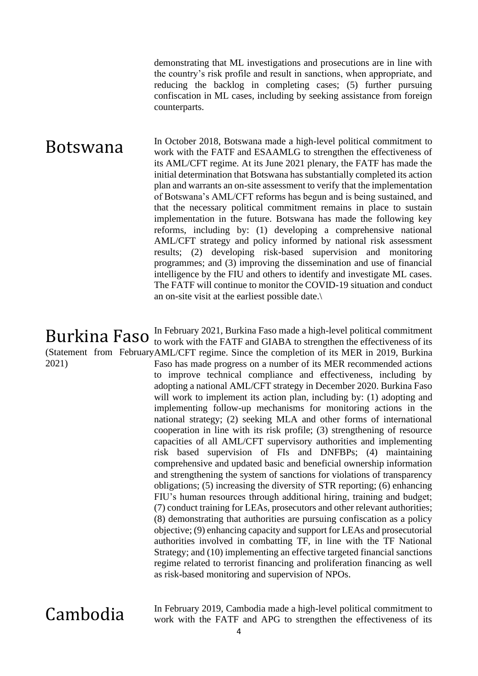demonstrating that ML investigations and prosecutions are in line with the country's risk profile and result in sanctions, when appropriate, and reducing the backlog in completing cases; (5) further pursuing confiscation in ML cases, including by seeking assistance from foreign counterparts.

**Botswana** In October 2018, Botswana made a high-level political commitment to work with the FATF and ESAAMLG to strengthen the effectiveness of its AML/CFT regime. At its June 2021 plenary, the FATF has made the initial determination that Botswana has substantially completed its action plan and warrants an on-site assessment to verify that the implementation of Botswana's AML/CFT reforms has begun and is being sustained, and that the necessary political commitment remains in place to sustain implementation in the future. Botswana has made the following key reforms, including by: (1) developing a comprehensive national AML/CFT strategy and policy informed by national risk assessment results; (2) developing risk-based supervision and monitoring programmes; and (3) improving the dissemination and use of financial intelligence by the FIU and others to identify and investigate ML cases. The FATF will continue to monitor the COVID-19 situation and conduct an on-site visit at the earliest possible date.\

Burkina Faso (Statement from February AML/CFT regime. Since the completion of its MER in 2019, Burkina 2021) In February 2021, Burkina Faso made a high-level political commitment to work with the FATF and GIABA to strengthen the effectiveness of its Faso has made progress on a number of its MER recommended actions to improve technical compliance and effectiveness, including by adopting a national AML/CFT strategy in December 2020. Burkina Faso will work to implement its action plan, including by: (1) adopting and implementing follow-up mechanisms for monitoring actions in the national strategy; (2) seeking MLA and other forms of international cooperation in line with its risk profile; (3) strengthening of resource capacities of all AML/CFT supervisory authorities and implementing risk based supervision of FIs and DNFBPs; (4) maintaining comprehensive and updated basic and beneficial ownership information and strengthening the system of sanctions for violations of transparency obligations; (5) increasing the diversity of STR reporting; (6) enhancing FIU's human resources through additional hiring, training and budget; (7) conduct training for LEAs, prosecutors and other relevant authorities; (8) demonstrating that authorities are pursuing confiscation as a policy objective; (9) enhancing capacity and support for LEAs and prosecutorial authorities involved in combatting TF, in line with the TF National Strategy; and (10) implementing an effective targeted financial sanctions regime related to terrorist financing and proliferation financing as well

Cambodia In February 2019, Cambodia made a high-level political commitment to work with the FATF and APG to strengthen the effectiveness of its

as risk-based monitoring and supervision of NPOs.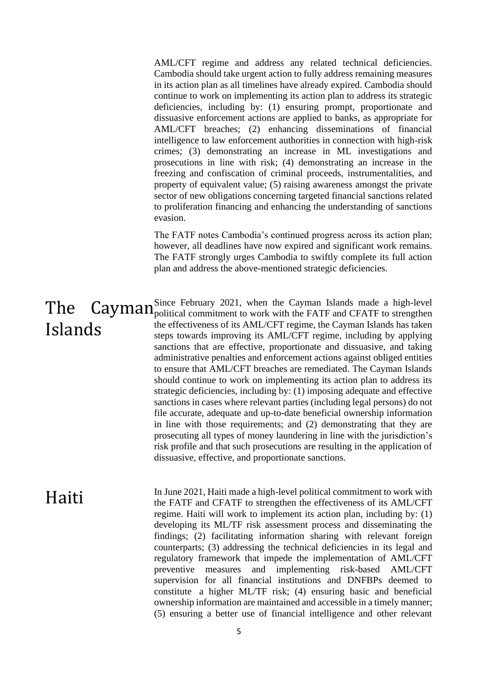AML/CFT regime and address any related technical deficiencies. Cambodia should take urgent action to fully address remaining measures in its action plan as all timelines have already expired. Cambodia should continue to work on implementing its action plan to address its strategic deficiencies, including by: (1) ensuring prompt, proportionate and dissuasive enforcement actions are applied to banks, as appropriate for AML/CFT breaches; (2) enhancing disseminations of financial intelligence to law enforcement authorities in connection with high-risk crimes; (3) demonstrating an increase in ML investigations and prosecutions in line with risk; (4) demonstrating an increase in the freezing and confiscation of criminal proceeds, instrumentalities, and property of equivalent value; (5) raising awareness amongst the private sector of new obligations concerning targeted financial sanctions related to proliferation financing and enhancing the understanding of sanctions evasion.

The FATF notes Cambodia's continued progress across its action plan; however, all deadlines have now expired and significant work remains. The FATF strongly urges Cambodia to swiftly complete its full action plan and address the above-mentioned strategic deficiencies.

# Islands

**The** Cayman<sup>Since</sup> February 2021, when the Cayman Islands made a high-level  $\Gamma$ Since February 2021, when the Cayman Islands made a high-level the effectiveness of its AML/CFT regime, the Cayman Islands has taken steps towards improving its AML/CFT regime, including by applying sanctions that are effective, proportionate and dissuasive, and taking administrative penalties and enforcement actions against obliged entities to ensure that AML/CFT breaches are remediated. The Cayman Islands should continue to work on implementing its action plan to address its strategic deficiencies, including by: (1) imposing adequate and effective sanctions in cases where relevant parties (including legal persons) do not file accurate, adequate and up-to-date beneficial ownership information in line with those requirements; and (2) demonstrating that they are prosecuting all types of money laundering in line with the jurisdiction's risk profile and that such prosecutions are resulting in the application of dissuasive, effective, and proportionate sanctions.

Haiti In June 2021, Haiti made a high-level political commitment to work with the FATF and CFATF to strengthen the effectiveness of its AML/CFT regime. Haiti will work to implement its action plan, including by: (1) developing its ML/TF risk assessment process and disseminating the findings; (2) facilitating information sharing with relevant foreign counterparts; (3) addressing the technical deficiencies in its legal and regulatory framework that impede the implementation of AML/CFT preventive measures and implementing risk-based AML/CFT supervision for all financial institutions and DNFBPs deemed to constitute a higher ML/TF risk; (4) ensuring basic and beneficial ownership information are maintained and accessible in a timely manner; (5) ensuring a better use of financial intelligence and other relevant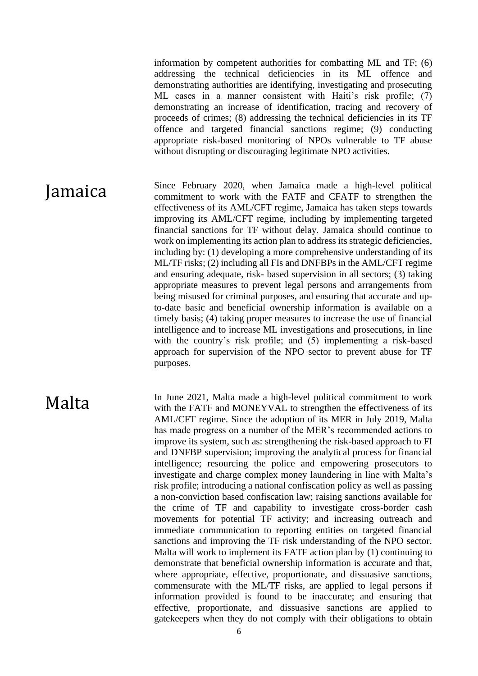information by competent authorities for combatting ML and TF; (6) addressing the technical deficiencies in its ML offence and demonstrating authorities are identifying, investigating and prosecuting ML cases in a manner consistent with Haiti's risk profile; (7) demonstrating an increase of identification, tracing and recovery of proceeds of crimes; (8) addressing the technical deficiencies in its TF offence and targeted financial sanctions regime; (9) conducting appropriate risk-based monitoring of NPOs vulnerable to TF abuse without disrupting or discouraging legitimate NPO activities.

**Jamaica** Since February 2020, when Jamaica made a high-level political commitment to work with the FATF and CFATF to strengthen the effectiveness of its AML/CFT regime, Jamaica has taken steps towards improving its AML/CFT regime, including by implementing targeted financial sanctions for TF without delay. Jamaica should continue to work on implementing its action plan to address its strategic deficiencies, including by: (1) developing a more comprehensive understanding of its ML/TF risks; (2) including all FIs and DNFBPs in the AML/CFT regime and ensuring adequate, risk- based supervision in all sectors; (3) taking appropriate measures to prevent legal persons and arrangements from being misused for criminal purposes, and ensuring that accurate and upto-date basic and beneficial ownership information is available on a timely basis; (4) taking proper measures to increase the use of financial intelligence and to increase ML investigations and prosecutions, in line with the country's risk profile; and (5) implementing a risk-based approach for supervision of the NPO sector to prevent abuse for TF purposes.

Malta In June 2021, Malta made a high-level political commitment to work with the FATF and MONEYVAL to strengthen the effectiveness of its AML/CFT regime. Since the adoption of its MER in July 2019, Malta has made progress on a number of the MER's recommended actions to improve its system, such as: strengthening the risk-based approach to FI and DNFBP supervision; improving the analytical process for financial intelligence; resourcing the police and empowering prosecutors to investigate and charge complex money laundering in line with Malta's risk profile; introducing a national confiscation policy as well as passing a non-conviction based confiscation law; raising sanctions available for the crime of TF and capability to investigate cross-border cash movements for potential TF activity; and increasing outreach and immediate communication to reporting entities on targeted financial sanctions and improving the TF risk understanding of the NPO sector. Malta will work to implement its FATF action plan by (1) continuing to demonstrate that beneficial ownership information is accurate and that, where appropriate, effective, proportionate, and dissuasive sanctions, commensurate with the ML/TF risks, are applied to legal persons if information provided is found to be inaccurate; and ensuring that effective, proportionate, and dissuasive sanctions are applied to gatekeepers when they do not comply with their obligations to obtain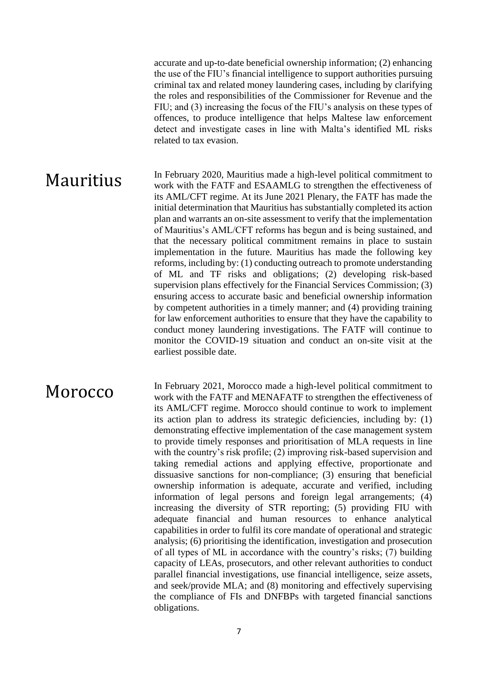accurate and up-to-date beneficial ownership information; (2) enhancing the use of the FIU's financial intelligence to support authorities pursuing criminal tax and related money laundering cases, including by clarifying the roles and responsibilities of the Commissioner for Revenue and the FIU; and (3) increasing the focus of the FIU's analysis on these types of offences, to produce intelligence that helps Maltese law enforcement detect and investigate cases in line with Malta's identified ML risks related to tax evasion.

Mauritius In February 2020, Mauritius made a high-level political commitment to work with the FATF and ESAAMLG to strengthen the effectiveness of its AML/CFT regime. At its June 2021 Plenary, the FATF has made the initial determination that Mauritius has substantially completed its action plan and warrants an on-site assessment to verify that the implementation of Mauritius's AML/CFT reforms has begun and is being sustained, and that the necessary political commitment remains in place to sustain implementation in the future. Mauritius has made the following key reforms, including by: (1) conducting outreach to promote understanding of ML and TF risks and obligations; (2) developing risk-based supervision plans effectively for the Financial Services Commission; (3) ensuring access to accurate basic and beneficial ownership information by competent authorities in a timely manner; and (4) providing training for law enforcement authorities to ensure that they have the capability to conduct money laundering investigations. The FATF will continue to monitor the COVID-19 situation and conduct an on-site visit at the earliest possible date.

MOTOCCO In February 2021, Morocco made a high-level political commitment to work with the FATF and MENAFATF to strengthen the effectiveness of its AML/CFT regime. Morocco should continue to work to implement its action plan to address its strategic deficiencies, including by: (1) demonstrating effective implementation of the case management system to provide timely responses and prioritisation of MLA requests in line with the country's risk profile; (2) improving risk-based supervision and taking remedial actions and applying effective, proportionate and dissuasive sanctions for non-compliance; (3) ensuring that beneficial ownership information is adequate, accurate and verified, including information of legal persons and foreign legal arrangements; (4) increasing the diversity of STR reporting; (5) providing FIU with adequate financial and human resources to enhance analytical capabilities in order to fulfil its core mandate of operational and strategic analysis; (6) prioritising the identification, investigation and prosecution of all types of ML in accordance with the country's risks; (7) building capacity of LEAs, prosecutors, and other relevant authorities to conduct parallel financial investigations, use financial intelligence, seize assets, and seek/provide MLA; and (8) monitoring and effectively supervising the compliance of FIs and DNFBPs with targeted financial sanctions obligations.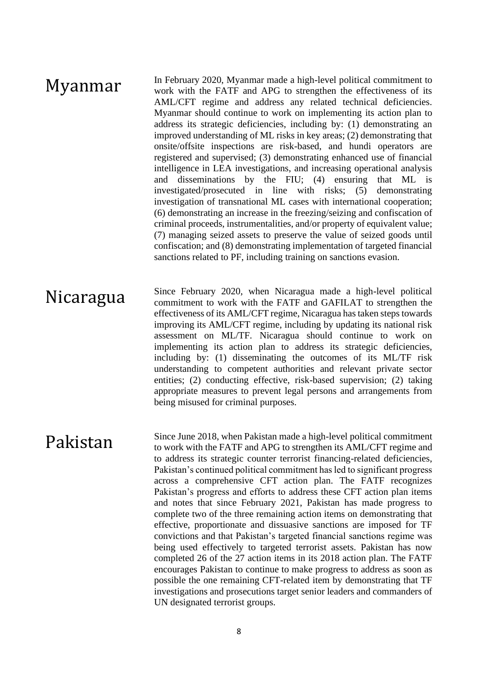## Myanmar In February 2020, Myanmar made a high-level political commitment to work with the FATF and APG to strengthen the effectiveness of its AML/CFT regime and address any related technical deficiencies. Myanmar should continue to work on implementing its action plan to address its strategic deficiencies, including by: (1) demonstrating an improved understanding of ML risks in key areas; (2) demonstrating that onsite/offsite inspections are risk-based, and hundi operators are registered and supervised; (3) demonstrating enhanced use of financial intelligence in LEA investigations, and increasing operational analysis and disseminations by the FIU; (4) ensuring that ML is investigated/prosecuted in line with risks; (5) demonstrating investigation of transnational ML cases with international cooperation; (6) demonstrating an increase in the freezing/seizing and confiscation of criminal proceeds, instrumentalities, and/or property of equivalent value; (7) managing seized assets to preserve the value of seized goods until confiscation; and (8) demonstrating implementation of targeted financial sanctions related to PF, including training on sanctions evasion.

Nicaragua Since February 2020, when Nicaragua made a high-level political<br>commitment to work with the FATF and GAFILAT to strengthen the commitment to work with the FATF and GAFILAT to strengthen the effectiveness of its AML/CFT regime, Nicaragua has taken steps towards improving its AML/CFT regime, including by updating its national risk assessment on ML/TF. Nicaragua should continue to work on implementing its action plan to address its strategic deficiencies, including by: (1) disseminating the outcomes of its ML/TF risk understanding to competent authorities and relevant private sector entities; (2) conducting effective, risk-based supervision; (2) taking appropriate measures to prevent legal persons and arrangements from being misused for criminal purposes.

**Pakistan Since June 2018, when Pakistan made a high-level political commitment to work with the FATF and APG to strengthen its AML/CFT regime and** to address its strategic counter terrorist financing-related deficiencies, Pakistan's continued political commitment has led to significant progress across a comprehensive CFT action plan. The FATF recognizes Pakistan's progress and efforts to address these CFT action plan items and notes that since February 2021, Pakistan has made progress to complete two of the three remaining action items on demonstrating that effective, proportionate and dissuasive sanctions are imposed for TF convictions and that Pakistan's targeted financial sanctions regime was being used effectively to targeted terrorist assets. Pakistan has now completed 26 of the 27 action items in its 2018 action plan. The FATF encourages Pakistan to continue to make progress to address as soon as possible the one remaining CFT-related item by demonstrating that TF investigations and prosecutions target senior leaders and commanders of UN designated terrorist groups.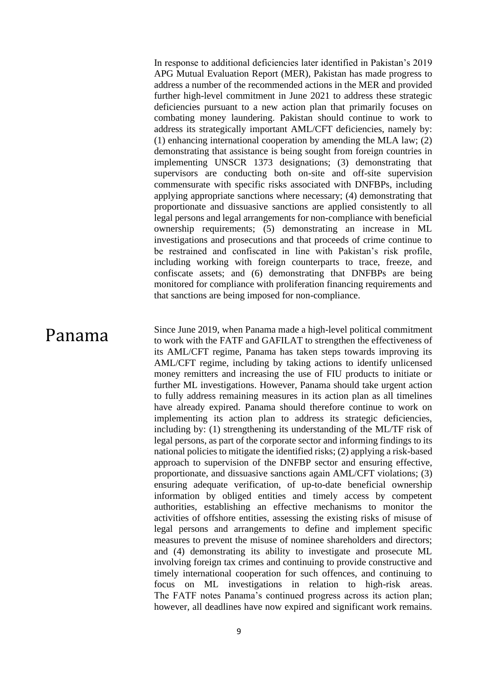In response to additional deficiencies later identified in Pakistan's 2019 APG Mutual Evaluation Report (MER), Pakistan has made progress to address a number of the recommended actions in the MER and provided further high-level commitment in June 2021 to address these strategic deficiencies pursuant to a new action plan that primarily focuses on combating money laundering. Pakistan should continue to work to address its strategically important AML/CFT deficiencies, namely by: (1) enhancing international cooperation by amending the MLA law; (2) demonstrating that assistance is being sought from foreign countries in implementing UNSCR 1373 designations; (3) demonstrating that supervisors are conducting both on-site and off-site supervision commensurate with specific risks associated with DNFBPs, including applying appropriate sanctions where necessary; (4) demonstrating that proportionate and dissuasive sanctions are applied consistently to all legal persons and legal arrangements for non-compliance with beneficial ownership requirements; (5) demonstrating an increase in ML investigations and prosecutions and that proceeds of crime continue to be restrained and confiscated in line with Pakistan's risk profile, including working with foreign counterparts to trace, freeze, and confiscate assets; and (6) demonstrating that DNFBPs are being monitored for compliance with proliferation financing requirements and that sanctions are being imposed for non-compliance.

**Panama** Since June 2019, when Panama made a high-level political commitment to work with the FATF and GAFILAT to strengthen the effectiveness of its AML/CFT regime, Panama has taken steps towards improving its AML/CFT regime, including by taking actions to identify unlicensed money remitters and increasing the use of FIU products to initiate or further ML investigations. However, Panama should take urgent action to fully address remaining measures in its action plan as all timelines have already expired. Panama should therefore continue to work on implementing its action plan to address its strategic deficiencies, including by: (1) strengthening its understanding of the ML/TF risk of legal persons, as part of the corporate sector and informing findings to its national policies to mitigate the identified risks; (2) applying a risk-based approach to supervision of the DNFBP sector and ensuring effective, proportionate, and dissuasive sanctions again AML/CFT violations; (3) ensuring adequate verification, of up-to-date beneficial ownership information by obliged entities and timely access by competent authorities, establishing an effective mechanisms to monitor the activities of offshore entities, assessing the existing risks of misuse of legal persons and arrangements to define and implement specific measures to prevent the misuse of nominee shareholders and directors; and (4) demonstrating its ability to investigate and prosecute ML involving foreign tax crimes and continuing to provide constructive and timely international cooperation for such offences, and continuing to focus on ML investigations in relation to high-risk areas. The FATF notes Panama's continued progress across its action plan; however, all deadlines have now expired and significant work remains.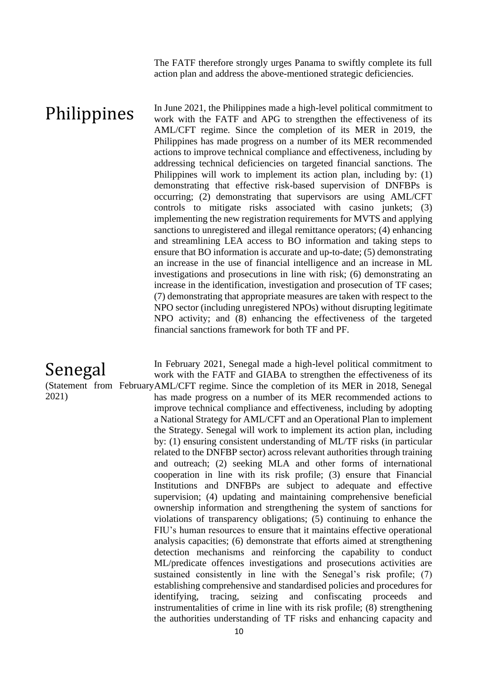The FATF therefore strongly urges Panama to swiftly complete its full action plan and address the above-mentioned strategic deficiencies.

**Philippines** In June 2021, the Philippines made a high-level political commitment to work with the FATF and APG to strengthen the effectiveness of its AML/CFT regime. Since the completion of its MER in 2019, the Philippines has made progress on a number of its MER recommended actions to improve technical compliance and effectiveness, including by addressing technical deficiencies on targeted financial sanctions. The Philippines will work to implement its action plan, including by: (1) demonstrating that effective risk-based supervision of DNFBPs is occurring; (2) demonstrating that supervisors are using AML/CFT controls to mitigate risks associated with casino junkets; (3) implementing the new registration requirements for MVTS and applying sanctions to unregistered and illegal remittance operators; (4) enhancing and streamlining LEA access to BO information and taking steps to ensure that BO information is accurate and up-to-date; (5) demonstrating an increase in the use of financial intelligence and an increase in ML investigations and prosecutions in line with risk; (6) demonstrating an increase in the identification, investigation and prosecution of TF cases; (7) demonstrating that appropriate measures are taken with respect to the NPO sector (including unregistered NPOs) without disrupting legitimate NPO activity; and (8) enhancing the effectiveness of the targeted financial sanctions framework for both TF and PF.

## Senegal

2021)

(Statement from February AML/CFT regime. Since the completion of its MER in 2018, Senegal In February 2021, Senegal made a high-level political commitment to work with the FATF and GIABA to strengthen the effectiveness of its has made progress on a number of its MER recommended actions to improve technical compliance and effectiveness, including by adopting a National Strategy for AML/CFT and an Operational Plan to implement the Strategy. Senegal will work to implement its action plan, including by: (1) ensuring consistent understanding of ML/TF risks (in particular related to the DNFBP sector) across relevant authorities through training and outreach; (2) seeking MLA and other forms of international cooperation in line with its risk profile; (3) ensure that Financial Institutions and DNFBPs are subject to adequate and effective supervision; (4) updating and maintaining comprehensive beneficial ownership information and strengthening the system of sanctions for violations of transparency obligations; (5) continuing to enhance the FIU's human resources to ensure that it maintains effective operational analysis capacities; (6) demonstrate that efforts aimed at strengthening detection mechanisms and reinforcing the capability to conduct ML/predicate offences investigations and prosecutions activities are sustained consistently in line with the Senegal's risk profile; (7) establishing comprehensive and standardised policies and procedures for identifying, tracing, seizing and confiscating proceeds and instrumentalities of crime in line with its risk profile; (8) strengthening the authorities understanding of TF risks and enhancing capacity and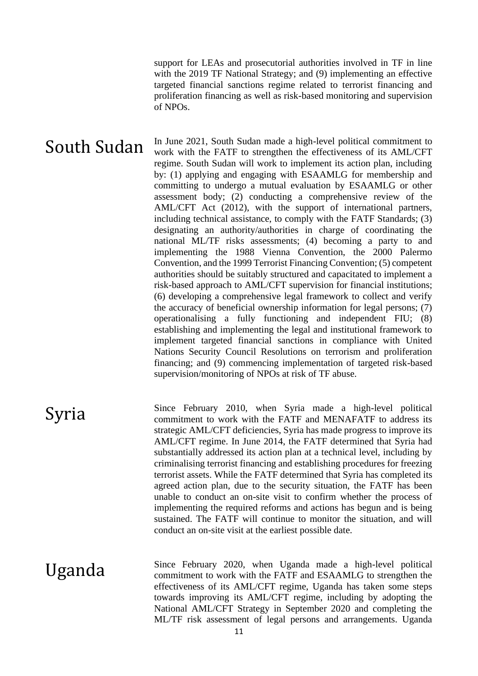support for LEAs and prosecutorial authorities involved in TF in line with the 2019 TF National Strategy; and (9) implementing an effective targeted financial sanctions regime related to terrorist financing and proliferation financing as well as risk-based monitoring and supervision of NPOs.

South Sudan In June 2021, South Sudan made a high-level political commitment to work with the FATF to strengthen the effectiveness of its AML/CFT regime. South Sudan will work to implement its action plan, including by: (1) applying and engaging with ESAAMLG for membership and committing to undergo a mutual evaluation by ESAAMLG or other assessment body; (2) conducting a comprehensive review of the AML/CFT Act (2012), with the support of international partners, including technical assistance, to comply with the FATF Standards; (3) designating an authority/authorities in charge of coordinating the national ML/TF risks assessments; (4) becoming a party to and implementing the 1988 Vienna Convention, the 2000 Palermo Convention, and the 1999 Terrorist Financing Convention; (5) competent authorities should be suitably structured and capacitated to implement a risk-based approach to AML/CFT supervision for financial institutions; (6) developing a comprehensive legal framework to collect and verify the accuracy of beneficial ownership information for legal persons; (7) operationalising a fully functioning and independent FIU; (8) establishing and implementing the legal and institutional framework to implement targeted financial sanctions in compliance with United Nations Security Council Resolutions on terrorism and proliferation financing; and (9) commencing implementation of targeted risk-based supervision/monitoring of NPOs at risk of TF abuse.

Syria Since February 2010, when Syria made a high-level political commitment to work with the FATF and MENAFATF to address its strategic AML/CFT deficiencies, Syria has made progress to improve its AML/CFT regime. In June 2014, the FATF determined that Syria had substantially addressed its action plan at a technical level, including by criminalising terrorist financing and establishing procedures for freezing terrorist assets. While the FATF determined that Syria has completed its agreed action plan, due to the security situation, the FATF has been unable to conduct an on-site visit to confirm whether the process of implementing the required reforms and actions has begun and is being sustained. The FATF will continue to monitor the situation, and will conduct an on-site visit at the earliest possible date.

Uganda Since February 2020, when Uganda made a high-level political<br>commitment to work with the FATF and ESAAMLG to strengthen the commitment to work with the FATF and ESAAMLG to strengthen the effectiveness of its AML/CFT regime, Uganda has taken some steps towards improving its AML/CFT regime, including by adopting the National AML/CFT Strategy in September 2020 and completing the ML/TF risk assessment of legal persons and arrangements. Uganda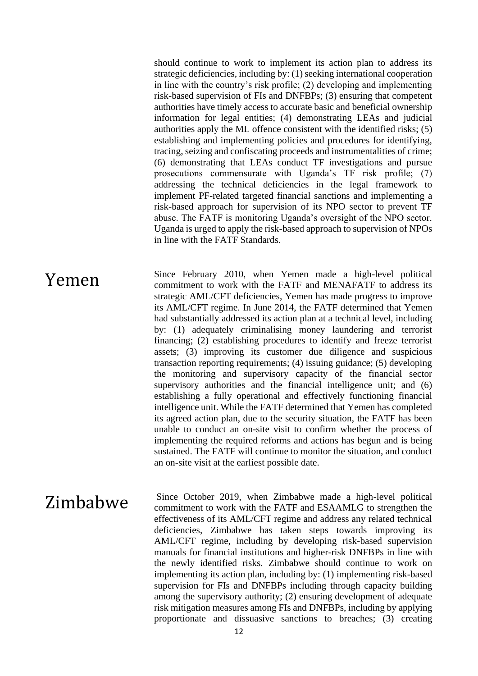should continue to work to implement its action plan to address its strategic deficiencies, including by: (1) seeking international cooperation in line with the country's risk profile; (2) developing and implementing risk-based supervision of FIs and DNFBPs; (3) ensuring that competent authorities have timely access to accurate basic and beneficial ownership information for legal entities; (4) demonstrating LEAs and judicial authorities apply the ML offence consistent with the identified risks; (5) establishing and implementing policies and procedures for identifying, tracing, seizing and confiscating proceeds and instrumentalities of crime; (6) demonstrating that LEAs conduct TF investigations and pursue prosecutions commensurate with Uganda's TF risk profile; (7) addressing the technical deficiencies in the legal framework to implement PF-related targeted financial sanctions and implementing a risk-based approach for supervision of its NPO sector to prevent TF abuse. The FATF is monitoring Uganda's oversight of the NPO sector. Uganda is urged to apply the risk-based approach to supervision of NPOs in line with the FATF Standards.

**Yemen** Since February 2010, when Yemen made a high-level political commitment to work with the FATF and MENAFATF to address its strategic AML/CFT deficiencies, Yemen has made progress to improve its AML/CFT regime. In June 2014, the FATF determined that Yemen had substantially addressed its action plan at a technical level, including by: (1) adequately criminalising money laundering and terrorist financing; (2) establishing procedures to identify and freeze terrorist assets; (3) improving its customer due diligence and suspicious transaction reporting requirements; (4) issuing guidance; (5) developing the monitoring and supervisory capacity of the financial sector supervisory authorities and the financial intelligence unit; and (6) establishing a fully operational and effectively functioning financial intelligence unit. While the FATF determined that Yemen has completed its agreed action plan, due to the security situation, the FATF has been unable to conduct an on-site visit to confirm whether the process of implementing the required reforms and actions has begun and is being sustained. The FATF will continue to monitor the situation, and conduct an on-site visit at the earliest possible date.

 $Zimhabwe$  Since October 2019, when Zimbabwe made a high-level political<br> $Zimhabwe$  commitment to work with the EATE and ESAAMI G to strengthen the commitment to work with the FATF and ESAAMLG to strengthen the effectiveness of its AML/CFT regime and address any related technical deficiencies, Zimbabwe has taken steps towards improving its AML/CFT regime, including by developing risk-based supervision manuals for financial institutions and higher-risk DNFBPs in line with the newly identified risks. Zimbabwe should continue to work on implementing its action plan, including by: (1) implementing risk-based supervision for FIs and DNFBPs including through capacity building among the supervisory authority; (2) ensuring development of adequate risk mitigation measures among FIs and DNFBPs, including by applying proportionate and dissuasive sanctions to breaches; (3) creating